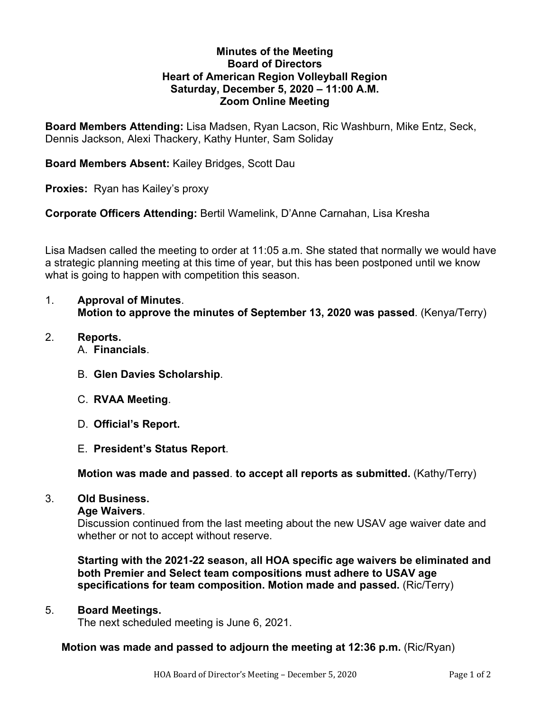## **Minutes of the Meeting Board of Directors Heart of American Region Volleyball Region Saturday, December 5, 2020 – 11:00 A.M. Zoom Online Meeting**

**Board Members Attending:** Lisa Madsen, Ryan Lacson, Ric Washburn, Mike Entz, Seck, Dennis Jackson, Alexi Thackery, Kathy Hunter, Sam Soliday

**Board Members Absent:** Kailey Bridges, Scott Dau

**Proxies:** Ryan has Kailey's proxy

**Corporate Officers Attending:** Bertil Wamelink, D'Anne Carnahan, Lisa Kresha

Lisa Madsen called the meeting to order at 11:05 a.m. She stated that normally we would have a strategic planning meeting at this time of year, but this has been postponed until we know what is going to happen with competition this season.

- 1. **Approval of Minutes**. **Motion to approve the minutes of September 13, 2020 was passed**. (Kenya/Terry)
- 2. **Reports.** A. **Financials**.
	- B. **Glen Davies Scholarship**.
	- C. **RVAA Meeting**.
	- D. **Official's Report.**
	- E. **President's Status Report**.

**Motion was made and passed**. **to accept all reports as submitted.** (Kathy/Terry)

# 3. **Old Business.**

### **Age Waivers**.

Discussion continued from the last meeting about the new USAV age waiver date and whether or not to accept without reserve.

**Starting with the 2021-22 season, all HOA specific age waivers be eliminated and both Premier and Select team compositions must adhere to USAV age specifications for team composition. Motion made and passed.** (Ric/Terry)

# 5. **Board Meetings.**

The next scheduled meeting is June 6, 2021.

# **Motion was made and passed to adjourn the meeting at 12:36 p.m.** (Ric/Ryan)